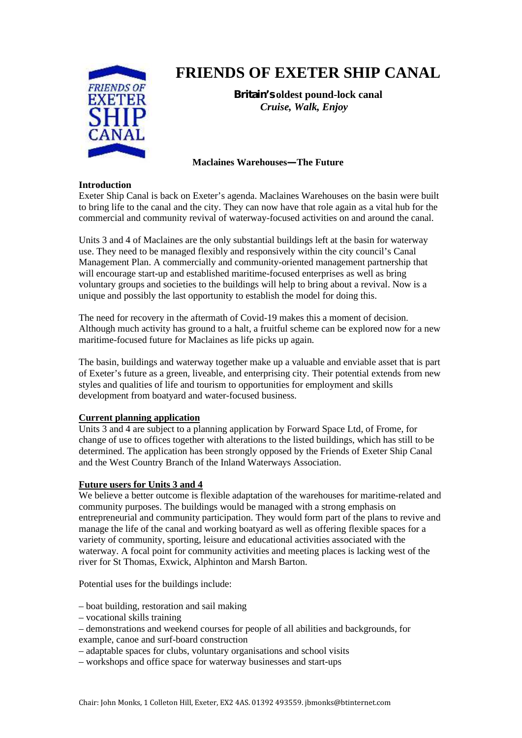

# **FRIENDS OF EXETER SHIP CANAL**

**Britain's oldest pound-lock canal** *Cruise, Walk, Enjoy*

## **Maclaines Warehouses—The Future**

#### **Introduction**

Exeter Ship Canal is back on Exeter's agenda. Maclaines Warehouses on the basin were built to bring life to the canal and the city. They can now have that role again as a vital hub for the commercial and community revival of waterway-focused activities on and around the canal.

Units 3 and 4 of Maclaines are the only substantial buildings left at the basin for waterway use. They need to be managed flexibly and responsively within the city council's Canal Management Plan. A commercially and community-oriented management partnership that will encourage start-up and established maritime-focused enterprises as well as bring voluntary groups and societies to the buildings will help to bring about a revival. Now is a unique and possibly the last opportunity to establish the model for doing this.

The need for recovery in the aftermath of Covid-19 makes this a moment of decision. Although much activity has ground to a halt, a fruitful scheme can be explored now for a new maritime-focused future for Maclaines as life picks up again.

The basin, buildings and waterway together make up a valuable and enviable asset that is part of Exeter's future as a green, liveable, and enterprising city. Their potential extends from new styles and qualities of life and tourism to opportunities for employment and skills development from boatyard and water-focused business.

## **Current planning application**

Units 3 and 4 are subject to a planning application by Forward Space Ltd, of Frome, for change of use to offices together with alterations to the listed buildings, which has still to be determined. The application has been strongly opposed by the Friends of Exeter Ship Canal and the West Country Branch of the Inland Waterways Association.

## **Future users for Units 3 and 4**

We believe a better outcome is flexible adaptation of the warehouses for maritime-related and community purposes. The buildings would be managed with a strong emphasis on entrepreneurial and community participation. They would form part of the plans to revive and manage the life of the canal and working boatyard as well as offering flexible spaces for a variety of community, sporting, leisure and educational activities associated with the waterway. A focal point for community activities and meeting places is lacking west of the river for St Thomas, Exwick, Alphinton and Marsh Barton.

Potential uses for the buildings include:

- boat building, restoration and sail making
- vocational skills training
- demonstrations and weekend courses for people of all abilities and backgrounds, for example, canoe and surf-board construction
- adaptable spaces for clubs, voluntary organisations and school visits
- workshops and office space for waterway businesses and start-ups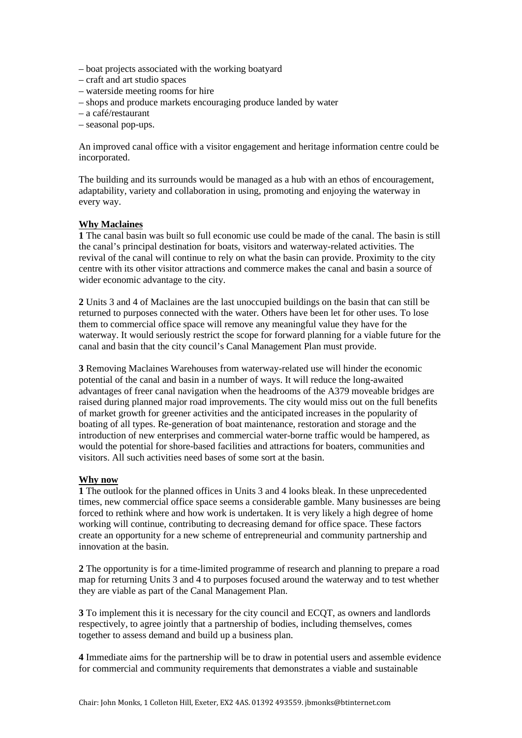- boat projects associated with the working boatyard
- craft and art studio spaces
- waterside meeting rooms for hire
- shops and produce markets encouraging produce landed by water
- a café/restaurant
- seasonal pop-ups.

An improved canal office with a visitor engagement and heritage information centre could be incorporated.

The building and its surrounds would be managed as a hub with an ethos of encouragement, adaptability, variety and collaboration in using, promoting and enjoying the waterway in every way.

#### **Why Maclaines**

**1** The canal basin was built so full economic use could be made of the canal. The basin is still the canal's principal destination for boats, visitors and waterway-related activities. The revival of the canal will continue to rely on what the basin can provide. Proximity to the city centre with its other visitor attractions and commerce makes the canal and basin a source of wider economic advantage to the city.

**2** Units 3 and 4 of Maclaines are the last unoccupied buildings on the basin that can still be returned to purposes connected with the water. Others have been let for other uses. To lose them to commercial office space will remove any meaningful value they have for the waterway. It would seriously restrict the scope for forward planning for a viable future for the canal and basin that the city council's Canal Management Plan must provide.

**3** Removing Maclaines Warehouses from waterway-related use will hinder the economic potential of the canal and basin in a number of ways. It will reduce the long-awaited advantages of freer canal navigation when the headrooms of the A379 moveable bridges are raised during planned major road improvements. The city would miss out on the full benefits of market growth for greener activities and the anticipated increases in the popularity of boating of all types. Re-generation of boat maintenance, restoration and storage and the introduction of new enterprises and commercial water-borne traffic would be hampered, as would the potential for shore-based facilities and attractions for boaters, communities and visitors. All such activities need bases of some sort at the basin.

#### **Why now**

**1** The outlook for the planned offices in Units 3 and 4 looks bleak. In these unprecedented times, new commercial office space seems a considerable gamble. Many businesses are being forced to rethink where and how work is undertaken. It is very likely a high degree of home working will continue, contributing to decreasing demand for office space. These factors create an opportunity for a new scheme of entrepreneurial and community partnership and innovation at the basin.

**2** The opportunity is for a time-limited programme of research and planning to prepare a road map for returning Units 3 and 4 to purposes focused around the waterway and to test whether they are viable as part of the Canal Management Plan.

**3** To implement this it is necessary for the city council and ECQT, as owners and landlords respectively, to agree jointly that a partnership of bodies, including themselves, comes together to assess demand and build up a business plan.

**4** Immediate aims for the partnership will be to draw in potential users and assemble evidence for commercial and community requirements that demonstrates a viable and sustainable